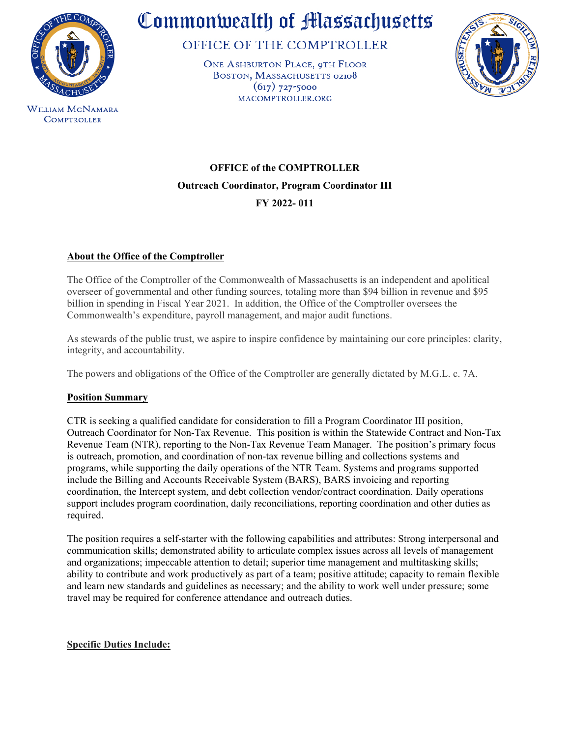

**COMPTROLLER** 

Commonwealth of Massachusetts

OFFICE OF THE COMPTROLLER

ONE ASHBURTON PLACE, 9TH FLOOR BOSTON, MASSACHUSETTS 02108  $(617)$  727-5000 MACOMPTROLLER.ORG



**OFFICE of the COMPTROLLER Outreach Coordinator, Program Coordinator III FY 2022- 011** 

# **About the Office of the Comptroller**

The Office of the Comptroller of the Commonwealth of Massachusetts is an independent and apolitical overseer of governmental and other funding sources, totaling more than \$94 billion in revenue and \$95 billion in spending in Fiscal Year 2021. In addition, the Office of the Comptroller oversees the Commonwealth's expenditure, payroll management, and major audit functions.

As stewards of the public trust, we aspire to inspire confidence by maintaining our core principles: clarity, integrity, and accountability.

The powers and obligations of the Office of the Comptroller are generally dictated by M.G.L. c. 7A.

# **Position Summary**

CTR is seeking a qualified candidate for consideration to fill a Program Coordinator III position, Outreach Coordinator for Non-Tax Revenue. This position is within the Statewide Contract and Non-Tax Revenue Team (NTR), reporting to the Non-Tax Revenue Team Manager. The position's primary focus is outreach, promotion, and coordination of non-tax revenue billing and collections systems and programs, while supporting the daily operations of the NTR Team. Systems and programs supported include the Billing and Accounts Receivable System (BARS), BARS invoicing and reporting coordination, the Intercept system, and debt collection vendor/contract coordination. Daily operations support includes program coordination, daily reconciliations, reporting coordination and other duties as required.

The position requires a self-starter with the following capabilities and attributes: Strong interpersonal and communication skills; demonstrated ability to articulate complex issues across all levels of management and organizations; impeccable attention to detail; superior time management and multitasking skills; ability to contribute and work productively as part of a team; positive attitude; capacity to remain flexible and learn new standards and guidelines as necessary; and the ability to work well under pressure; some travel may be required for conference attendance and outreach duties.

# **Specific Duties Include:**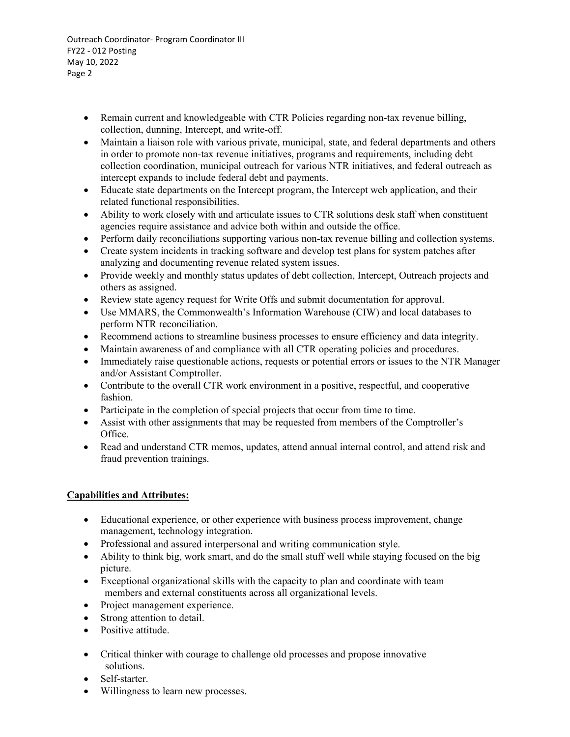- Remain current and knowledgeable with CTR Policies regarding non-tax revenue billing, collection, dunning, Intercept, and write-off.
- Maintain a liaison role with various private, municipal, state, and federal departments and others in order to promote non-tax revenue initiatives, programs and requirements, including debt collection coordination, municipal outreach for various NTR initiatives, and federal outreach as intercept expands to include federal debt and payments.
- Educate state departments on the Intercept program, the Intercept web application, and their related functional responsibilities.
- Ability to work closely with and articulate issues to CTR solutions desk staff when constituent agencies require assistance and advice both within and outside the office.
- Perform daily reconciliations supporting various non-tax revenue billing and collection systems.
- Create system incidents in tracking software and develop test plans for system patches after analyzing and documenting revenue related system issues.
- Provide weekly and monthly status updates of debt collection, Intercept, Outreach projects and others as assigned.
- Review state agency request for Write Offs and submit documentation for approval.
- Use MMARS, the Commonwealth's Information Warehouse (CIW) and local databases to perform NTR reconciliation.
- Recommend actions to streamline business processes to ensure efficiency and data integrity.
- Maintain awareness of and compliance with all CTR operating policies and procedures.
- Immediately raise questionable actions, requests or potential errors or issues to the NTR Manager and/or Assistant Comptroller.
- Contribute to the overall CTR work environment in a positive, respectful, and cooperative fashion.
- Participate in the completion of special projects that occur from time to time.
- Assist with other assignments that may be requested from members of the Comptroller's Office.
- Read and understand CTR memos, updates, attend annual internal control, and attend risk and fraud prevention trainings.

# **Capabilities and Attributes:**

- Educational experience, or other experience with business process improvement, change management, technology integration.
- Professional and assured interpersonal and writing communication style.
- Ability to think big, work smart, and do the small stuff well while staying focused on the big picture.
- Exceptional organizational skills with the capacity to plan and coordinate with team members and external constituents across all organizational levels.
- Project management experience.
- Strong attention to detail.
- Positive attitude.
- Critical thinker with courage to challenge old processes and propose innovative solutions.
- Self-starter.
- Willingness to learn new processes.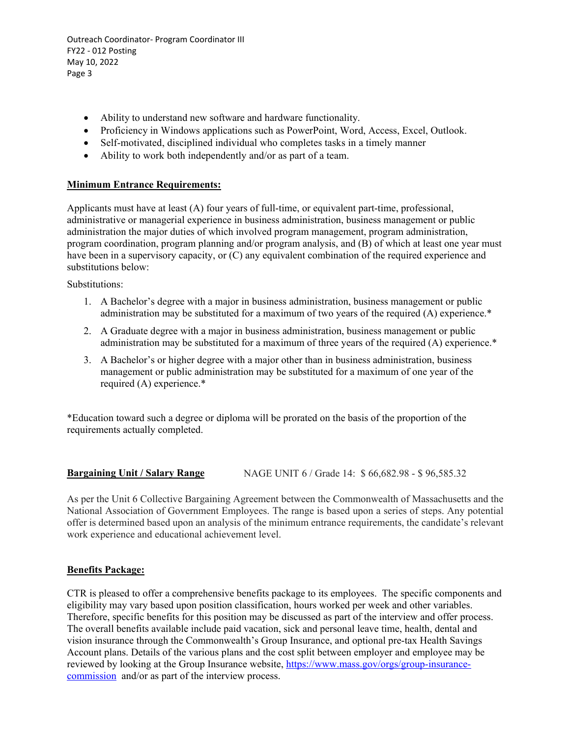- Ability to understand new software and hardware functionality.
- Proficiency in Windows applications such as PowerPoint, Word, Access, Excel, Outlook.
- Self-motivated, disciplined individual who completes tasks in a timely manner
- Ability to work both independently and/or as part of a team.

## **Minimum Entrance Requirements:**

Applicants must have at least (A) four years of full-time, or equivalent part-time, professional, administrative or managerial experience in business administration, business management or public administration the major duties of which involved program management, program administration, program coordination, program planning and/or program analysis, and (B) of which at least one year must have been in a supervisory capacity, or (C) any equivalent combination of the required experience and substitutions below:

Substitutions:

- 1. A Bachelor's degree with a major in business administration, business management or public administration may be substituted for a maximum of two years of the required (A) experience.\*
- 2. A Graduate degree with a major in business administration, business management or public administration may be substituted for a maximum of three years of the required (A) experience.\*
- 3. A Bachelor's or higher degree with a major other than in business administration, business management or public administration may be substituted for a maximum of one year of the required (A) experience.\*

\*Education toward such a degree or diploma will be prorated on the basis of the proportion of the requirements actually completed.

# **Bargaining Unit / Salary Range** NAGE UNIT 6 / Grade 14: \$66,682.98 - \$96,585.32

As per the Unit 6 Collective Bargaining Agreement between the Commonwealth of Massachusetts and the National Association of Government Employees. The range is based upon a series of steps. Any potential offer is determined based upon an analysis of the minimum entrance requirements, the candidate's relevant work experience and educational achievement level.

## **Benefits Package:**

CTR is pleased to offer a comprehensive benefits package to its employees. The specific components and eligibility may vary based upon position classification, hours worked per week and other variables. Therefore, specific benefits for this position may be discussed as part of the interview and offer process. The overall benefits available include paid vacation, sick and personal leave time, health, dental and vision insurance through the Commonwealth's Group Insurance, and optional pre-tax Health Savings Account plans. Details of the various plans and the cost split between employer and employee may be reviewed by looking at the Group Insurance website, [https://www.mass.gov/orgs/group-insurance](https://www.mass.gov/orgs/group-insurance-commission)[commission](https://www.mass.gov/orgs/group-insurance-commission) and/or as part of the interview process.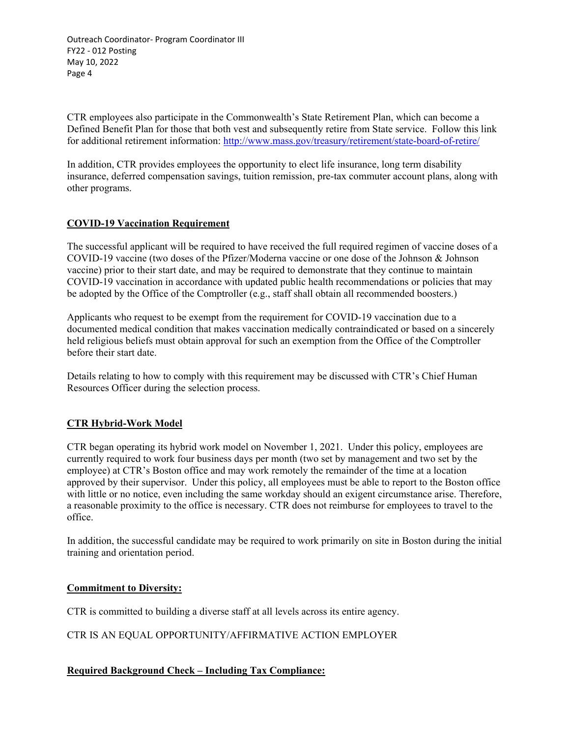CTR employees also participate in the Commonwealth's State Retirement Plan, which can become a Defined Benefit Plan for those that both vest and subsequently retire from State service. Follow this link for additional retirement information:<http://www.mass.gov/treasury/retirement/state-board-of-retire/>

In addition, CTR provides employees the opportunity to elect life insurance, long term disability insurance, deferred compensation savings, tuition remission, pre-tax commuter account plans, along with other programs.

## **COVID-19 Vaccination Requirement**

The successful applicant will be required to have received the full required regimen of vaccine doses of a COVID-19 vaccine (two doses of the Pfizer/Moderna vaccine or one dose of the Johnson & Johnson vaccine) prior to their start date, and may be required to demonstrate that they continue to maintain COVID-19 vaccination in accordance with updated public health recommendations or policies that may be adopted by the Office of the Comptroller (e.g., staff shall obtain all recommended boosters.)

Applicants who request to be exempt from the requirement for COVID-19 vaccination due to a documented medical condition that makes vaccination medically contraindicated or based on a sincerely held religious beliefs must obtain approval for such an exemption from the Office of the Comptroller before their start date.

Details relating to how to comply with this requirement may be discussed with CTR's Chief Human Resources Officer during the selection process.

# **CTR Hybrid-Work Model**

CTR began operating its hybrid work model on November 1, 2021. Under this policy, employees are currently required to work four business days per month (two set by management and two set by the employee) at CTR's Boston office and may work remotely the remainder of the time at a location approved by their supervisor. Under this policy, all employees must be able to report to the Boston office with little or no notice, even including the same workday should an exigent circumstance arise. Therefore, a reasonable proximity to the office is necessary. CTR does not reimburse for employees to travel to the office.

In addition, the successful candidate may be required to work primarily on site in Boston during the initial training and orientation period.

## **Commitment to Diversity:**

CTR is committed to building a diverse staff at all levels across its entire agency.

CTR IS AN EQUAL OPPORTUNITY/AFFIRMATIVE ACTION EMPLOYER

## **Required Background Check – Including Tax Compliance:**